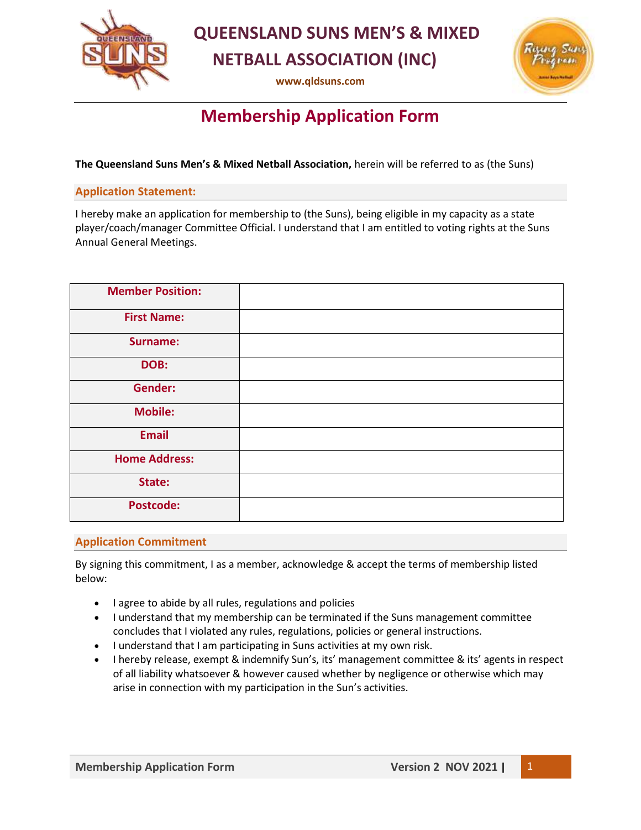

 **QUEENSLAND SUNS MEN'S & MIXED NETBALL ASSOCIATION (INC)**

**[www.qldsuns.com](http://www.qldsuns.com/)**



# **Membership Application Form**

**The Queensland Suns Men's & Mixed Netball Association,** herein will be referred to as (the Suns)

### **Application Statement:**

I hereby make an application for membership to (the Suns), being eligible in my capacity as a state player/coach/manager Committee Official. I understand that I am entitled to voting rights at the Suns Annual General Meetings.

| <b>Member Position:</b> |  |
|-------------------------|--|
| <b>First Name:</b>      |  |
| Surname:                |  |
| DOB:                    |  |
| <b>Gender:</b>          |  |
| <b>Mobile:</b>          |  |
| <b>Email</b>            |  |
| <b>Home Address:</b>    |  |
| State:                  |  |
| <b>Postcode:</b>        |  |

### **Application Commitment**

By signing this commitment, I as a member, acknowledge & accept the terms of membership listed below:

- I agree to abide by all rules, regulations and policies
- I understand that my membership can be terminated if the Suns management committee concludes that I violated any rules, regulations, policies or general instructions.
- I understand that I am participating in Suns activities at my own risk.
- I hereby release, exempt & indemnify Sun's, its' management committee & its' agents in respect of all liability whatsoever & however caused whether by negligence or otherwise which may arise in connection with my participation in the Sun's activities.